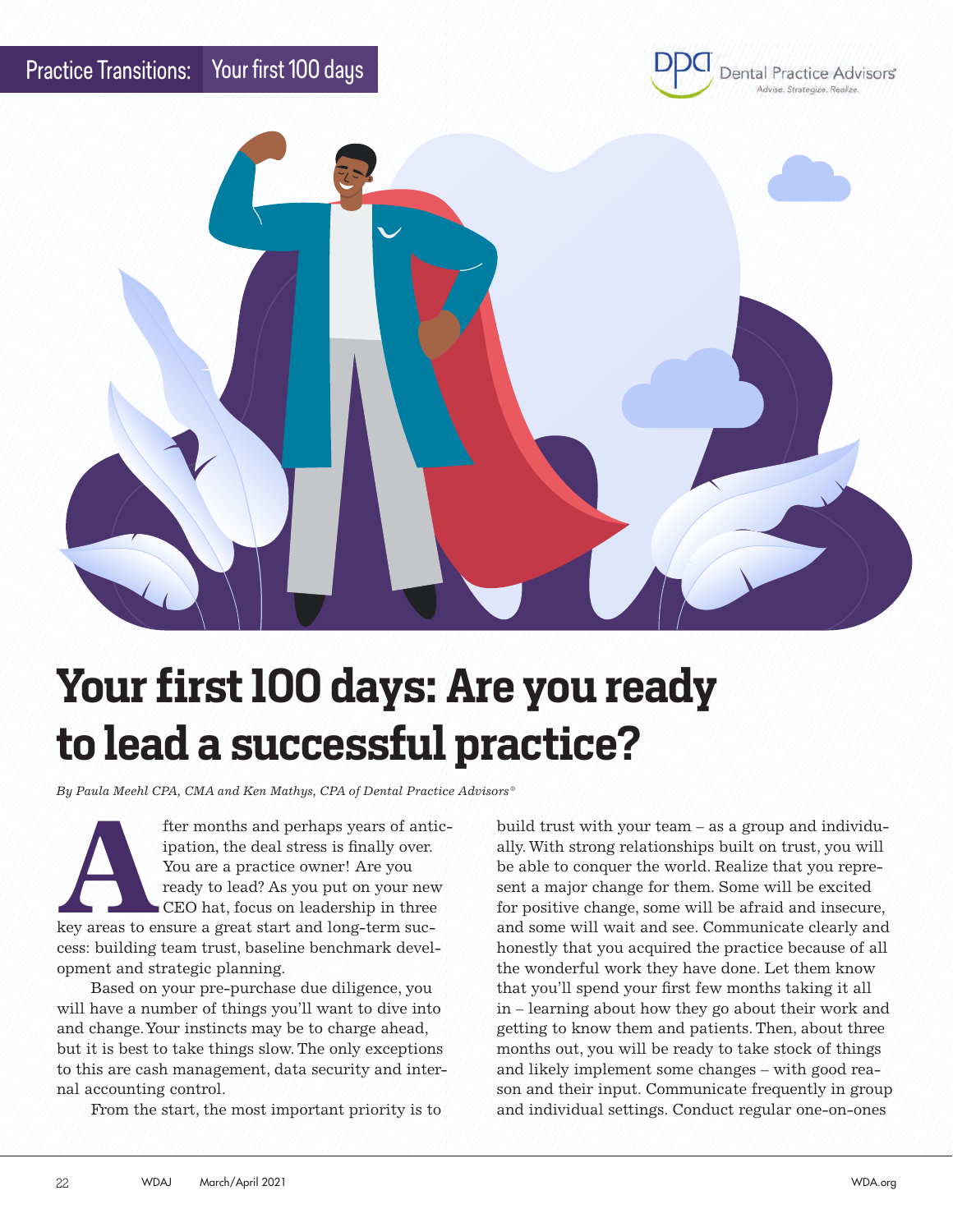



## **Your first 100 days: Are you ready to lead a successful practice?**

*By Paula Meehl CPA, CMA and Ken Mathys, CPA of Dental Practice Advisors®*

**After months and perhaps years of antic-**<br>
ipation, the deal stress is finally over.<br>
You are a practice owner! Are you<br>
ready to lead? As you put on your new<br>
CEO hat, focus on leadership in three<br>
key areas to ensure a ipation, the deal stress is finally over. You are a practice owner! Are you ready to lead? As you put on your new CEO hat, focus on leadership in three cess: building team trust, baseline benchmark development and strategic planning.

Based on your pre-purchase due diligence, you will have a number of things you'll want to dive into and change. Your instincts may be to charge ahead, but it is best to take things slow. The only exceptions to this are cash management, data security and internal accounting control.

From the start, the most important priority is to

build trust with your team – as a group and individually. With strong relationships built on trust, you will be able to conquer the world. Realize that you represent a major change for them. Some will be excited for positive change, some will be afraid and insecure, and some will wait and see. Communicate clearly and honestly that you acquired the practice because of all the wonderful work they have done. Let them know that you'll spend your first few months taking it all in – learning about how they go about their work and getting to know them and patients. Then, about three months out, you will be ready to take stock of things and likely implement some changes – with good reason and their input. Communicate frequently in group and individual settings. Conduct regular one-on-ones